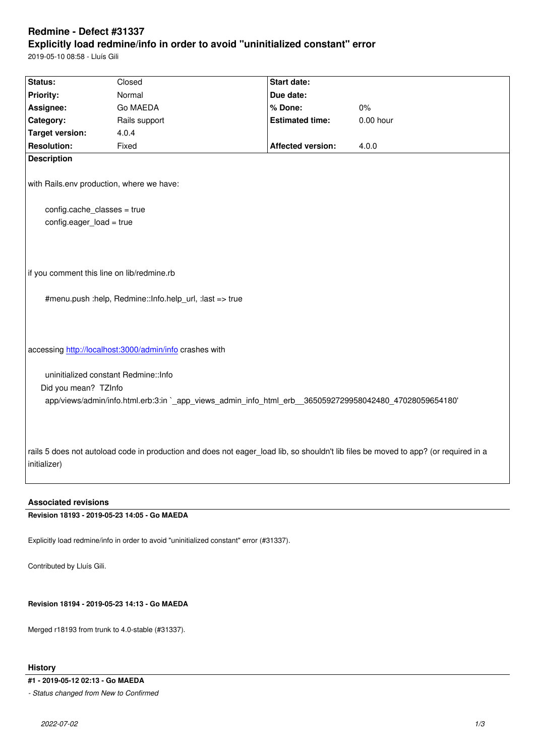#### **Explicitly load redmine/info in order to avoid "uninitialized constant" error**

2019-05-10 08:58 - Lluís Gili

| Status:                                                 | Closed                                                                                                  | <b>Start date:</b>       |                                                                                                                                     |
|---------------------------------------------------------|---------------------------------------------------------------------------------------------------------|--------------------------|-------------------------------------------------------------------------------------------------------------------------------------|
| Priority:                                               | Normal                                                                                                  | Due date:                |                                                                                                                                     |
| Assignee:                                               | Go MAEDA                                                                                                | % Done:                  | 0%                                                                                                                                  |
| Category:                                               | Rails support                                                                                           | <b>Estimated time:</b>   | $0.00$ hour                                                                                                                         |
| <b>Target version:</b>                                  | 4.0.4                                                                                                   |                          |                                                                                                                                     |
| <b>Resolution:</b>                                      | Fixed                                                                                                   | <b>Affected version:</b> | 4.0.0                                                                                                                               |
| <b>Description</b>                                      |                                                                                                         |                          |                                                                                                                                     |
|                                                         | with Rails.env production, where we have:                                                               |                          |                                                                                                                                     |
| config.cache_classes = true                             |                                                                                                         |                          |                                                                                                                                     |
| config.eager_load = true                                |                                                                                                         |                          |                                                                                                                                     |
| if you comment this line on lib/redmine.rb              |                                                                                                         |                          |                                                                                                                                     |
|                                                         | #menu.push :help, Redmine::lnfo.help_url, :last => true                                                 |                          |                                                                                                                                     |
| accessing http://localhost:3000/admin/info crashes with |                                                                                                         |                          |                                                                                                                                     |
| uninitialized constant Redmine:: Info                   |                                                                                                         |                          |                                                                                                                                     |
| Did you mean? TZInfo                                    | app/views/admin/info.html.erb:3:in `_app_views_admin_info_html_erb__3650592729958042480_47028059654180' |                          |                                                                                                                                     |
| initializer)                                            |                                                                                                         |                          | rails 5 does not autoload code in production and does not eager load lib, so shouldn't lib files be moved to app? (or required in a |

## **Associated revisions**

**Revision 18193 - 2019-05-23 14:05 - Go MAEDA**

Explicitly load redmine/info in order to avoid "uninitialized constant" error (#31337).

Contributed by Lluís Gili.

# **Revision 18194 - 2019-05-23 14:13 - Go MAEDA**

Merged r18193 from trunk to 4.0-stable (#31337).

# **History**

**#1 - 2019-05-12 02:13 - Go MAEDA**

*- Status changed from New to Confirmed*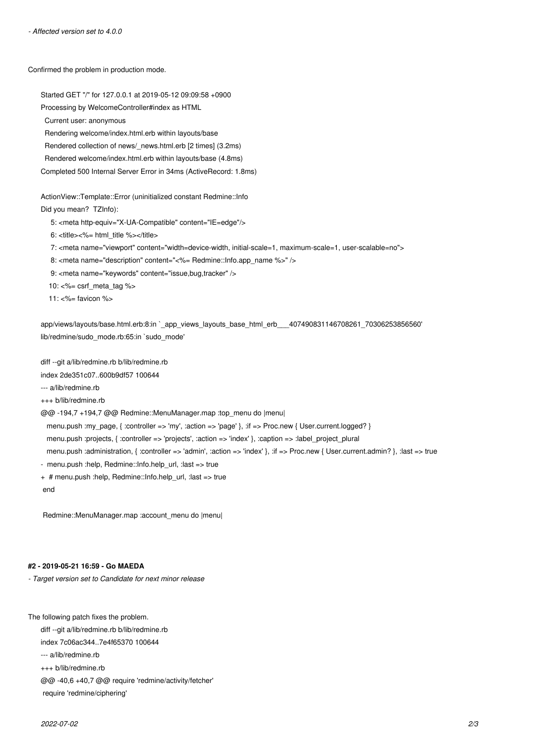Confirmed the problem in production mode.

Started GET "/" for 127.0.0.1 at 2019-05-12 09:09:58 +0900 Processing by WelcomeController#index as HTML Current user: anonymous Rendering welcome/index.html.erb within layouts/base Rendered collection of news/\_news.html.erb [2 times] (3.2ms) Rendered welcome/index.html.erb within layouts/base (4.8ms) Completed 500 Internal Server Error in 34ms (ActiveRecord: 1.8ms)

ActionView::Template::Error (uninitialized constant Redmine::Info Did you mean? TZInfo):

5: <meta http-equiv="X-UA-Compatible" content="IE=edge"/>

6: <title><%= html\_title %></title>

7: <meta name="viewport" content="width=device-width, initial-scale=1, maximum-scale=1, user-scalable=no">

8: <meta name="description" content="<%= Redmine::Info.app\_name %>" />

9: <meta name="keywords" content="issue,bug,tracker" />

10: <%= csrf\_meta\_tag %>

11:  $<%$  favicon  $%$ 

app/views/layouts/base.html.erb:8:in `app\_views\_layouts\_base\_html\_erb\_\_\_407490831146708261\_70306253856560' lib/redmine/sudo\_mode.rb:65:in `sudo\_mode'

diff --git a/lib/redmine.rb b/lib/redmine.rb

index 2de351c07..600b9df57 100644

--- a/lib/redmine.rb

+++ b/lib/redmine.rb

@@ -194,7 +194,7 @@ Redmine::MenuManager.map :top\_menu do |menu|

menu.push :my\_page, { :controller => 'my', :action => 'page' }, :if => Proc.new { User.current.logged? }

menu.push :projects, { :controller => 'projects', :action => 'index' }, :caption => :label\_project\_plural

menu.push :administration, { :controller => 'admin', :action => 'index' }, :if => Proc.new { User.current.admin? }, :last => true

- menu.push :help, Redmine::Info.help\_url, :last => true

+ # menu.push :help, Redmine::Info.help\_url, :last => true

end

Redmine::MenuManager.map :account\_menu do |menu|

### **#2 - 2019-05-21 16:59 - Go MAEDA**

*- Target version set to Candidate for next minor release*

The following patch fixes the problem.

diff --git a/lib/redmine.rb b/lib/redmine.rb

index 7c06ac344..7e4f65370 100644

--- a/lib/redmine.rb

+++ b/lib/redmine.rb

@@ -40,6 +40,7 @@ require 'redmine/activity/fetcher'

require 'redmine/ciphering'